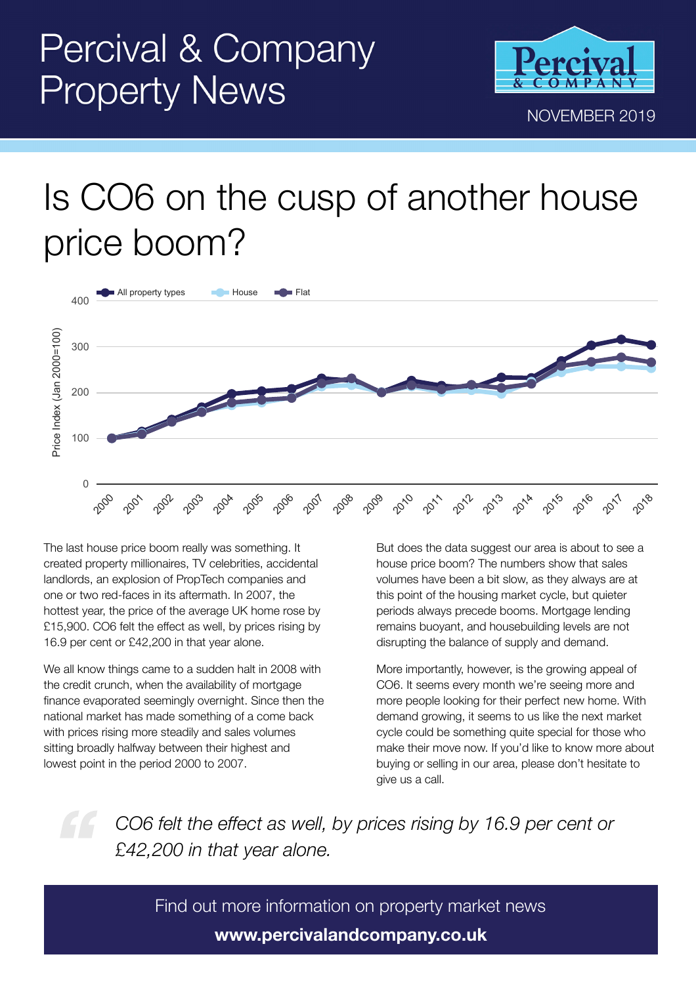

## Is CO6 on the cusp of another house price boom?



The last house price boom really was something. It created property millionaires, TV celebrities, accidental landlords, an explosion of PropTech companies and one or two red-faces in its aftermath. In 2007, the hottest year, the price of the average UK home rose by £15,900. CO6 felt the effect as well, by prices rising by 16.9 per cent or £42,200 in that year alone.

We all know things came to a sudden halt in 2008 with the credit crunch, when the availability of mortgage finance evaporated seemingly overnight. Since then the national market has made something of a come back with prices rising more steadily and sales volumes sitting broadly halfway between their highest and lowest point in the period 2000 to 2007.

But does the data suggest our area is about to see a house price boom? The numbers show that sales volumes have been a bit slow, as they always are at this point of the housing market cycle, but quieter periods always precede booms. Mortgage lending remains buoyant, and housebuilding levels are not disrupting the balance of supply and demand.

More importantly, however, is the growing appeal of CO6. It seems every month we're seeing more and more people looking for their perfect new home. With demand growing, it seems to us like the next market cycle could be something quite special for those who make their move now. If you'd like to know more about buying or selling in our area, please don't hesitate to give us a call.

*CO6 felt the effect as well, by prices rising by 16.9 per cent or £42,200 in that year alone.*

Find out more information on property market news **www.percivalandcompany.co.uk**